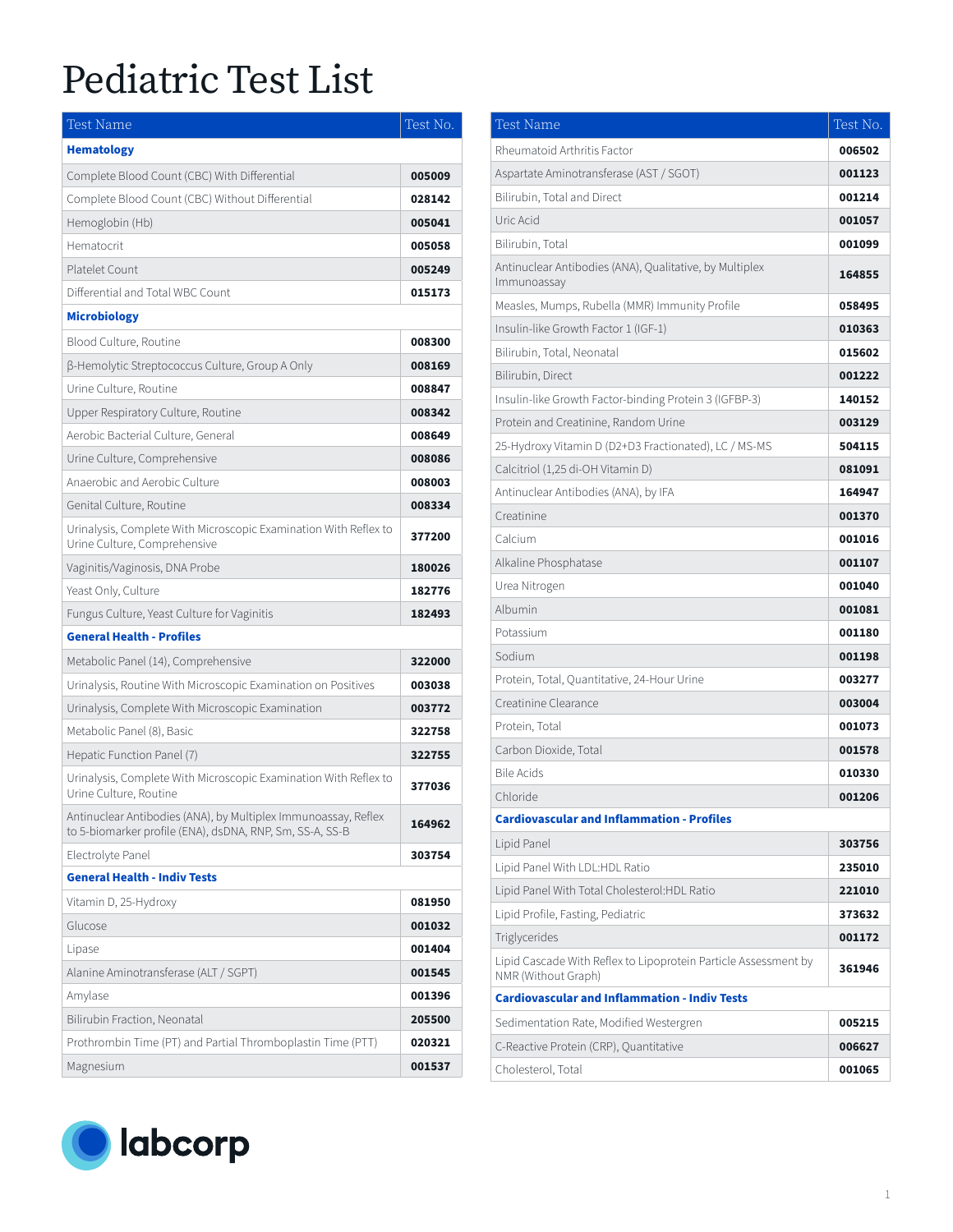| <b>Test Name</b>                                                                                                           | Test No. |
|----------------------------------------------------------------------------------------------------------------------------|----------|
| <b>Hematology</b>                                                                                                          |          |
| Complete Blood Count (CBC) With Differential                                                                               | 005009   |
| Complete Blood Count (CBC) Without Differential                                                                            | 028142   |
| Hemoglobin (Hb)                                                                                                            | 005041   |
| Hematocrit                                                                                                                 | 005058   |
| Platelet Count                                                                                                             | 005249   |
| Differential and Total WBC Count                                                                                           | 015173   |
| <b>Microbiology</b>                                                                                                        |          |
| Blood Culture, Routine                                                                                                     | 008300   |
| β-Hemolytic Streptococcus Culture, Group A Only                                                                            | 008169   |
| Urine Culture, Routine                                                                                                     | 008847   |
| Upper Respiratory Culture, Routine                                                                                         | 008342   |
| Aerobic Bacterial Culture, General                                                                                         | 008649   |
| Urine Culture, Comprehensive                                                                                               | 008086   |
| Anaerobic and Aerobic Culture                                                                                              | 008003   |
| Genital Culture, Routine                                                                                                   | 008334   |
| Urinalysis, Complete With Microscopic Examination With Reflex to<br>Urine Culture, Comprehensive                           | 377200   |
| Vaginitis/Vaginosis, DNA Probe                                                                                             | 180026   |
| Yeast Only, Culture                                                                                                        | 182776   |
| Fungus Culture, Yeast Culture for Vaginitis                                                                                | 182493   |
| <b>General Health - Profiles</b>                                                                                           |          |
| Metabolic Panel (14), Comprehensive                                                                                        | 322000   |
| Urinalysis, Routine With Microscopic Examination on Positives                                                              | 003038   |
| Urinalysis, Complete With Microscopic Examination                                                                          | 003772   |
| Metabolic Panel (8), Basic                                                                                                 | 322758   |
| Hepatic Function Panel (7)                                                                                                 | 322755   |
| Urinalysis, Complete With Microscopic Examination With Reflex to<br>Urine Culture, Routine                                 | 377036   |
| Antinuclear Antibodies (ANA), by Multiplex Immunoassay, Reflex<br>to 5-biomarker profile (ENA), dsDNA, RNP, Sm, SS-A, SS-B | 164962   |
| Electrolyte Panel                                                                                                          | 303754   |
| <b>General Health - Indiv Tests</b>                                                                                        |          |
| Vitamin D, 25-Hydroxy                                                                                                      | 081950   |
| Glucose                                                                                                                    | 001032   |
| Lipase                                                                                                                     | 001404   |
| Alanine Aminotransferase (ALT / SGPT)                                                                                      | 001545   |
| Amylase                                                                                                                    | 001396   |
| Bilirubin Fraction, Neonatal                                                                                               | 205500   |
| Prothrombin Time (PT) and Partial Thromboplastin Time (PTT)                                                                | 020321   |
| Magnesium                                                                                                                  | 001537   |



| <b>Test Name</b>                                                                       | Test No. |
|----------------------------------------------------------------------------------------|----------|
| Rheumatoid Arthritis Factor                                                            | 006502   |
| Aspartate Aminotransferase (AST / SGOT)                                                | 001123   |
| Bilirubin, Total and Direct                                                            | 001214   |
| Uric Acid                                                                              | 001057   |
| Bilirubin, Total                                                                       | 001099   |
| Antinuclear Antibodies (ANA), Qualitative, by Multiplex<br>Immunoassay                 | 164855   |
| Measles, Mumps, Rubella (MMR) Immunity Profile                                         | 058495   |
| Insulin-like Growth Factor 1 (IGF-1)                                                   | 010363   |
| Bilirubin, Total, Neonatal                                                             | 015602   |
| Bilirubin, Direct                                                                      | 001222   |
| Insulin-like Growth Factor-binding Protein 3 (IGFBP-3)                                 | 140152   |
| Protein and Creatinine, Random Urine                                                   | 003129   |
| 25-Hydroxy Vitamin D (D2+D3 Fractionated), LC / MS-MS                                  | 504115   |
| Calcitriol (1,25 di-OH Vitamin D)                                                      | 081091   |
| Antinuclear Antibodies (ANA), by IFA                                                   | 164947   |
| Creatinine                                                                             | 001370   |
| Calcium                                                                                | 001016   |
| Alkaline Phosphatase                                                                   | 001107   |
| Urea Nitrogen                                                                          | 001040   |
| Albumin                                                                                | 001081   |
| Potassium                                                                              | 001180   |
| Sodium                                                                                 | 001198   |
| Protein, Total, Quantitative, 24-Hour Urine                                            | 003277   |
| Creatinine Clearance                                                                   | 003004   |
| Protein, Total                                                                         | 001073   |
| Carbon Dioxide, Total                                                                  | 001578   |
| <b>Bile Acids</b>                                                                      | 010330   |
| Chloride                                                                               | 001206   |
| <b>Cardiovascular and Inflammation - Profiles</b>                                      |          |
| Lipid Panel                                                                            | 303756   |
| Lipid Panel With LDL:HDL Ratio                                                         | 235010   |
| Lipid Panel With Total Cholesterol:HDL Ratio                                           | 221010   |
| Lipid Profile, Fasting, Pediatric                                                      | 373632   |
| Triglycerides                                                                          | 001172   |
| Lipid Cascade With Reflex to Lipoprotein Particle Assessment by<br>NMR (Without Graph) | 361946   |
| <b>Cardiovascular and Inflammation - Indiv Tests</b>                                   |          |
| Sedimentation Rate, Modified Westergren                                                | 005215   |
| C-Reactive Protein (CRP), Quantitative                                                 | 006627   |
| Cholesterol, Total                                                                     | 001065   |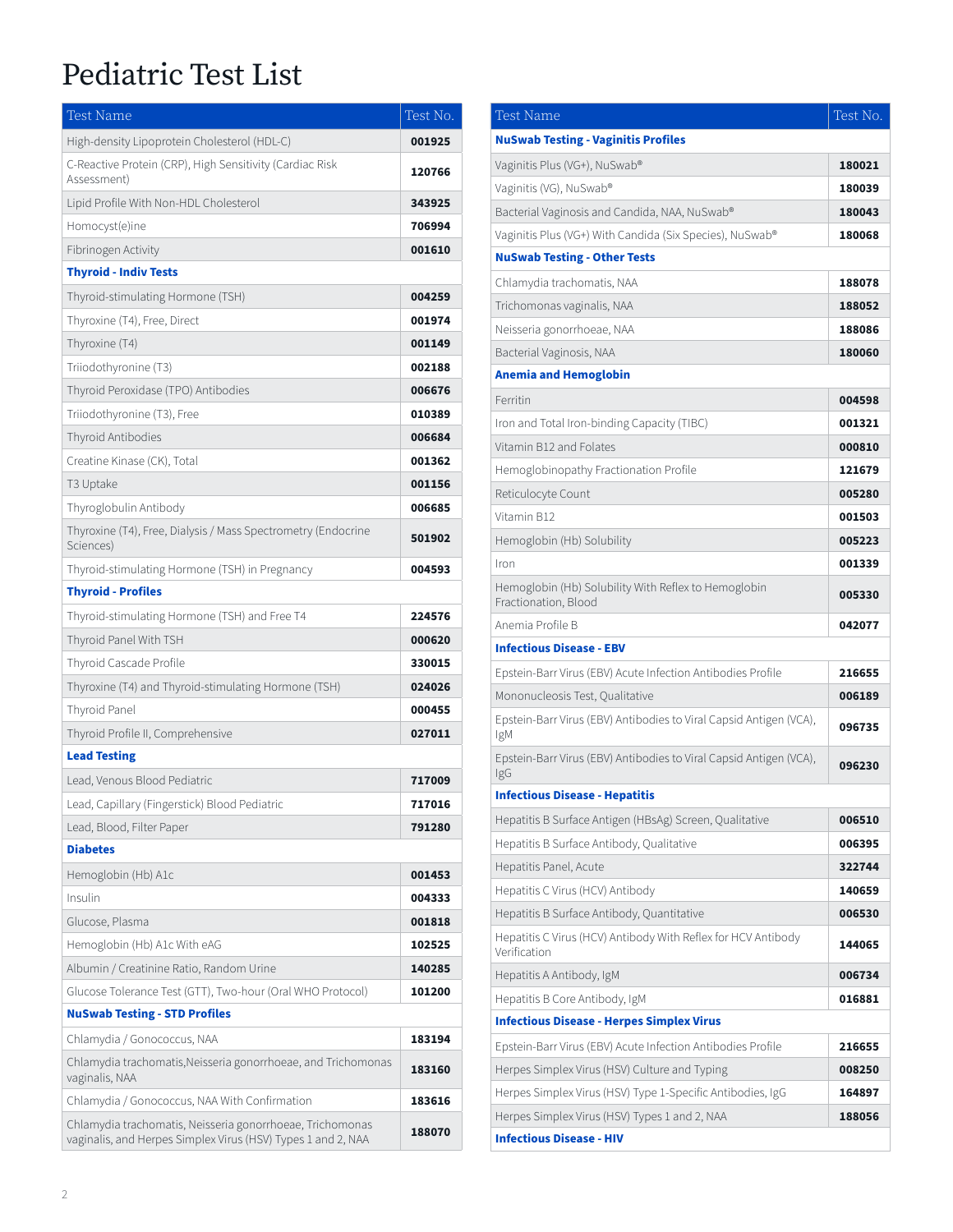| <b>Test Name</b>                                                                                                          | Test No. |
|---------------------------------------------------------------------------------------------------------------------------|----------|
| High-density Lipoprotein Cholesterol (HDL-C)                                                                              | 001925   |
| C-Reactive Protein (CRP), High Sensitivity (Cardiac Risk<br>Assessment)                                                   | 120766   |
| Lipid Profile With Non-HDL Cholesterol                                                                                    | 343925   |
| Homocyst(e)ine                                                                                                            | 706994   |
| Fibrinogen Activity                                                                                                       | 001610   |
| <b>Thyroid - Indiv Tests</b>                                                                                              |          |
| Thyroid-stimulating Hormone (TSH)                                                                                         | 004259   |
| Thyroxine (T4), Free, Direct                                                                                              | 001974   |
| Thyroxine (T4)                                                                                                            | 001149   |
| Triiodothyronine (T3)                                                                                                     | 002188   |
| Thyroid Peroxidase (TPO) Antibodies                                                                                       | 006676   |
| Triiodothyronine (T3), Free                                                                                               | 010389   |
| Thyroid Antibodies                                                                                                        | 006684   |
| Creatine Kinase (CK), Total                                                                                               | 001362   |
| T3 Uptake                                                                                                                 | 001156   |
| Thyroglobulin Antibody                                                                                                    | 006685   |
| Thyroxine (T4), Free, Dialysis / Mass Spectrometry (Endocrine<br>Sciences)                                                | 501902   |
| Thyroid-stimulating Hormone (TSH) in Pregnancy                                                                            | 004593   |
| <b>Thyroid - Profiles</b>                                                                                                 |          |
| Thyroid-stimulating Hormone (TSH) and Free T4                                                                             | 224576   |
| Thyroid Panel With TSH                                                                                                    | 000620   |
| Thyroid Cascade Profile                                                                                                   | 330015   |
| Thyroxine (T4) and Thyroid-stimulating Hormone (TSH)                                                                      | 024026   |
| Thyroid Panel                                                                                                             | 000455   |
| Thyroid Profile II, Comprehensive                                                                                         | 027011   |
| <b>Lead Testing</b>                                                                                                       |          |
| Lead, Venous Blood Pediatric                                                                                              | 717009   |
| Lead, Capillary (Fingerstick) Blood Pediatric                                                                             | 717016   |
| Lead, Blood, Filter Paper                                                                                                 | 791280   |
| <b>Diabetes</b>                                                                                                           |          |
| Hemoglobin (Hb) A1c                                                                                                       | 001453   |
| Insulin                                                                                                                   | 004333   |
| Glucose, Plasma                                                                                                           | 001818   |
| Hemoglobin (Hb) A1c With eAG                                                                                              | 102525   |
| Albumin / Creatinine Ratio, Random Urine                                                                                  | 140285   |
| Glucose Tolerance Test (GTT), Two-hour (Oral WHO Protocol)                                                                | 101200   |
| <b>NuSwab Testing - STD Profiles</b>                                                                                      |          |
| Chlamydia / Gonococcus, NAA                                                                                               | 183194   |
| Chlamydia trachomatis, Neisseria gonorrhoeae, and Trichomonas<br>vaginalis, NAA                                           | 183160   |
| Chlamydia / Gonococcus, NAA With Confirmation                                                                             | 183616   |
| Chlamydia trachomatis, Neisseria gonorrhoeae, Trichomonas<br>vaginalis, and Herpes Simplex Virus (HSV) Types 1 and 2, NAA | 188070   |

| Test Name                                                                     | Test No. |
|-------------------------------------------------------------------------------|----------|
| <b>NuSwab Testing - Vaginitis Profiles</b>                                    |          |
| Vaginitis Plus (VG+), NuSwab®                                                 | 180021   |
| Vaginitis (VG), NuSwab®                                                       | 180039   |
| Bacterial Vaginosis and Candida, NAA, NuSwab®                                 | 180043   |
| Vaginitis Plus (VG+) With Candida (Six Species), NuSwab®                      | 180068   |
| <b>NuSwab Testing - Other Tests</b>                                           |          |
| Chlamydia trachomatis, NAA                                                    | 188078   |
| Trichomonas vaginalis, NAA                                                    | 188052   |
| Neisseria gonorrhoeae, NAA                                                    | 188086   |
| Bacterial Vaginosis, NAA                                                      | 180060   |
| <b>Anemia and Hemoglobin</b>                                                  |          |
| Ferritin                                                                      | 004598   |
| Iron and Total Iron-binding Capacity (TIBC)                                   | 001321   |
| Vitamin B12 and Folates                                                       | 000810   |
| Hemoglobinopathy Fractionation Profile                                        | 121679   |
| Reticulocyte Count                                                            | 005280   |
| Vitamin B12                                                                   | 001503   |
| Hemoglobin (Hb) Solubility                                                    | 005223   |
| Iron                                                                          | 001339   |
| Hemoglobin (Hb) Solubility With Reflex to Hemoglobin<br>Fractionation, Blood  | 005330   |
| Anemia Profile B                                                              | 042077   |
| <b>Infectious Disease - EBV</b>                                               |          |
| Epstein-Barr Virus (EBV) Acute Infection Antibodies Profile                   | 216655   |
| Mononucleosis Test, Qualitative                                               | 006189   |
| Epstein-Barr Virus (EBV) Antibodies to Viral Capsid Antigen (VCA),<br>IgM     | 096735   |
| Epstein-Barr Virus (EBV) Antibodies to Viral Capsid Antigen (VCA),<br>IgG     | 096230   |
| <b>Infectious Disease - Hepatitis</b>                                         |          |
| Hepatitis B Surface Antigen (HBsAg) Screen, Qualitative                       | 006510   |
| Hepatitis B Surface Antibody, Qualitative                                     | 006395   |
| Hepatitis Panel, Acute                                                        | 322744   |
| Hepatitis C Virus (HCV) Antibody                                              | 140659   |
| Hepatitis B Surface Antibody, Quantitative                                    | 006530   |
| Hepatitis C Virus (HCV) Antibody With Reflex for HCV Antibody<br>Verification | 144065   |
| Hepatitis A Antibody, IgM                                                     | 006734   |
| Hepatitis B Core Antibody, IgM                                                | 016881   |
| <b>Infectious Disease - Herpes Simplex Virus</b>                              |          |
| Epstein-Barr Virus (EBV) Acute Infection Antibodies Profile                   | 216655   |
| Herpes Simplex Virus (HSV) Culture and Typing                                 | 008250   |
| Herpes Simplex Virus (HSV) Type 1-Specific Antibodies, IgG                    | 164897   |
| Herpes Simplex Virus (HSV) Types 1 and 2, NAA                                 | 188056   |
| <b>Infectious Disease - HIV</b>                                               |          |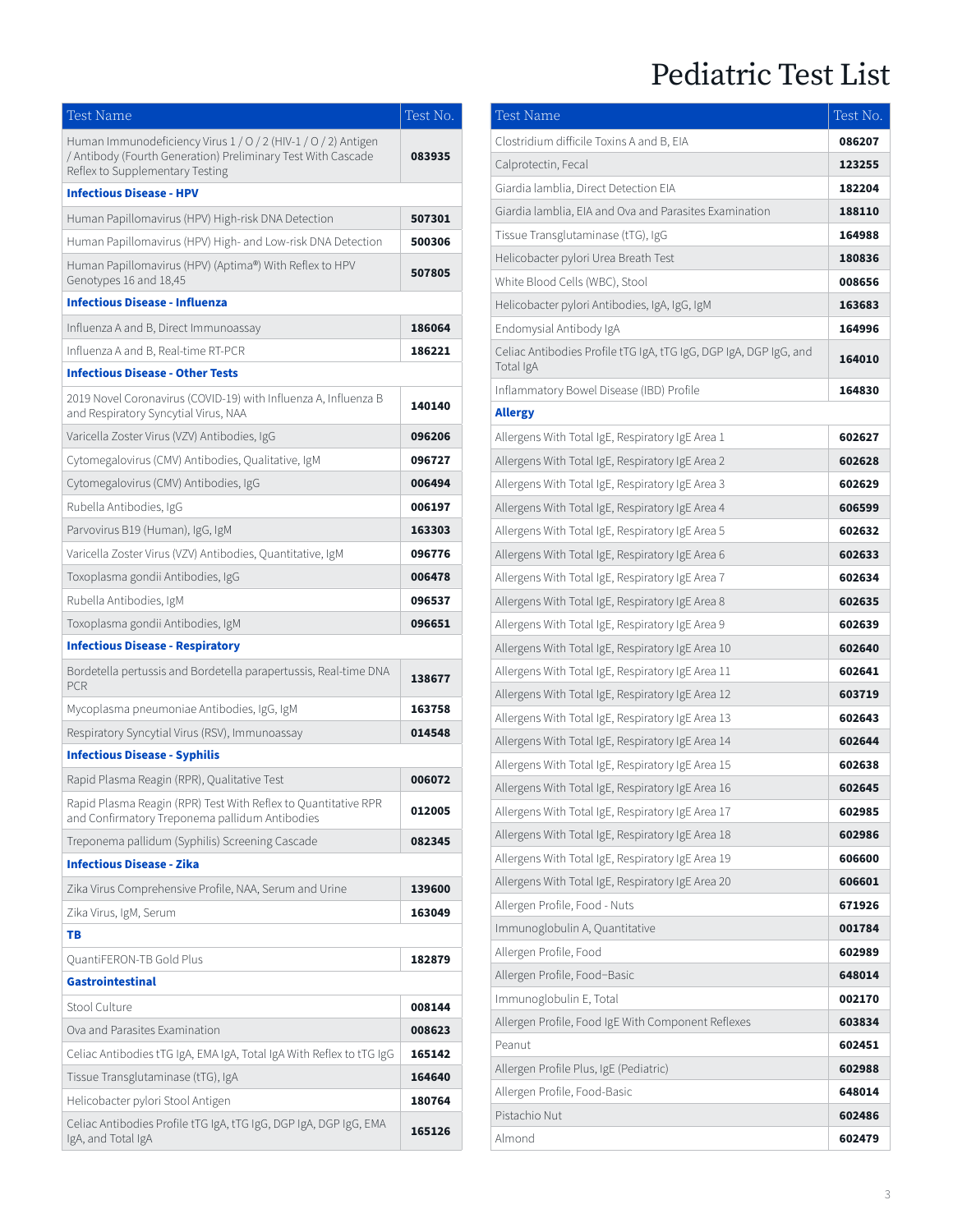| Test Name                                                                                                                                                         | Test No. |
|-------------------------------------------------------------------------------------------------------------------------------------------------------------------|----------|
| Human Immunodeficiency Virus 1 / 0 / 2 (HIV-1 / 0 / 2) Antigen<br>/ Antibody (Fourth Generation) Preliminary Test With Cascade<br>Reflex to Supplementary Testing | 083935   |
| <b>Infectious Disease - HPV</b>                                                                                                                                   |          |
| Human Papillomavirus (HPV) High-risk DNA Detection                                                                                                                | 507301   |
| Human Papillomavirus (HPV) High- and Low-risk DNA Detection                                                                                                       | 500306   |
| Human Papillomavirus (HPV) (Aptima®) With Reflex to HPV<br>Genotypes 16 and 18,45                                                                                 | 507805   |
| <b>Infectious Disease - Influenza</b>                                                                                                                             |          |
| Influenza A and B, Direct Immunoassay                                                                                                                             | 186064   |
| Influenza A and B, Real-time RT-PCR                                                                                                                               | 186221   |
| <b>Infectious Disease - Other Tests</b>                                                                                                                           |          |
| 2019 Novel Coronavirus (COVID-19) with Influenza A, Influenza B<br>and Respiratory Syncytial Virus, NAA                                                           | 140140   |
| Varicella Zoster Virus (VZV) Antibodies, IgG                                                                                                                      | 096206   |
| Cytomegalovirus (CMV) Antibodies, Qualitative, IgM                                                                                                                | 096727   |
| Cytomegalovirus (CMV) Antibodies, IgG                                                                                                                             | 006494   |
| Rubella Antibodies, IgG                                                                                                                                           | 006197   |
| Parvovirus B19 (Human), IgG, IgM                                                                                                                                  | 163303   |
| Varicella Zoster Virus (VZV) Antibodies, Quantitative, IgM                                                                                                        | 096776   |
| Toxoplasma gondii Antibodies, IgG                                                                                                                                 | 006478   |
| Rubella Antibodies, IgM                                                                                                                                           | 096537   |
| Toxoplasma gondii Antibodies, IgM                                                                                                                                 | 096651   |
| <b>Infectious Disease - Respiratory</b>                                                                                                                           |          |
| Bordetella pertussis and Bordetella parapertussis, Real-time DNA<br><b>PCR</b>                                                                                    | 138677   |
| Mycoplasma pneumoniae Antibodies, IgG, IgM                                                                                                                        | 163758   |
| Respiratory Syncytial Virus (RSV), Immunoassay                                                                                                                    | 014548   |
| <b>Infectious Disease - Syphilis</b>                                                                                                                              |          |
| Rapid Plasma Reagin (RPR), Qualitative Test                                                                                                                       | 006072   |
| Rapid Plasma Reagin (RPR) Test With Reflex to Quantitative RPR<br>and Confirmatory Treponema pallidum Antibodies                                                  | 012005   |
| Treponema pallidum (Syphilis) Screening Cascade                                                                                                                   | 082345   |
| <b>Infectious Disease - Zika</b>                                                                                                                                  |          |
| Zika Virus Comprehensive Profile, NAA, Serum and Urine                                                                                                            | 139600   |
| Zika Virus, IgM, Serum                                                                                                                                            | 163049   |
| TВ                                                                                                                                                                |          |
| QuantiFERON-TB Gold Plus                                                                                                                                          | 182879   |
| <b>Gastrointestinal</b>                                                                                                                                           |          |
| Stool Culture                                                                                                                                                     | 008144   |
| Ova and Parasites Examination                                                                                                                                     | 008623   |
| Celiac Antibodies tTG IgA, EMA IgA, Total IgA With Reflex to tTG IgG                                                                                              | 165142   |
| Tissue Transglutaminase (tTG), IgA                                                                                                                                | 164640   |
| Helicobacter pylori Stool Antigen                                                                                                                                 | 180764   |
| Celiac Antibodies Profile tTG IgA, tTG IgG, DGP IgA, DGP IgG, EMA<br>IgA, and Total IgA                                                                           | 165126   |

| <b>Test Name</b>                                                               | Test No. |
|--------------------------------------------------------------------------------|----------|
| Clostridium difficile Toxins A and B, EIA                                      | 086207   |
| Calprotectin, Fecal                                                            | 123255   |
| Giardia lamblia, Direct Detection EIA                                          | 182204   |
| Giardia lamblia, EIA and Ova and Parasites Examination                         | 188110   |
| Tissue Transglutaminase (tTG), IgG                                             | 164988   |
| Helicobacter pylori Urea Breath Test                                           | 180836   |
| White Blood Cells (WBC), Stool                                                 | 008656   |
| Helicobacter pylori Antibodies, IgA, IgG, IgM                                  | 163683   |
| Endomysial Antibody IgA                                                        | 164996   |
| Celiac Antibodies Profile tTG IgA, tTG IgG, DGP IgA, DGP IgG, and<br>Total IgA | 164010   |
| Inflammatory Bowel Disease (IBD) Profile                                       | 164830   |
| <b>Allergy</b>                                                                 |          |
| Allergens With Total IgE, Respiratory IgE Area 1                               | 602627   |
| Allergens With Total IgE, Respiratory IgE Area 2                               | 602628   |
| Allergens With Total IgE, Respiratory IgE Area 3                               | 602629   |
| Allergens With Total IgE, Respiratory IgE Area 4                               | 606599   |
| Allergens With Total IgE, Respiratory IgE Area 5                               | 602632   |
| Allergens With Total IgE, Respiratory IgE Area 6                               | 602633   |
| Allergens With Total IgE, Respiratory IgE Area 7                               | 602634   |
| Allergens With Total IgE, Respiratory IgE Area 8                               | 602635   |
| Allergens With Total IgE, Respiratory IgE Area 9                               | 602639   |
| Allergens With Total IgE, Respiratory IgE Area 10                              | 602640   |
| Allergens With Total IgE, Respiratory IgE Area 11                              | 602641   |
| Allergens With Total IgE, Respiratory IgE Area 12                              | 603719   |
| Allergens With Total IgE, Respiratory IgE Area 13                              | 602643   |
| Allergens With Total IgE, Respiratory IgE Area 14                              | 602644   |
| Allergens With Total IgE, Respiratory IgE Area 15                              | 602638   |
| Allergens With Total IgE, Respiratory IgE Area 16                              | 602645   |
| Allergens With Total IgE, Respiratory IgE Area 17                              | 602985   |
| Allergens With Total IgE, Respiratory IgE Area 18                              | 602986   |
| Allergens With Total IgE, Respiratory IgE Area 19                              | 606600   |
| Allergens With Total IgE, Respiratory IgE Area 20                              | 606601   |
| Allergen Profile, Food - Nuts                                                  | 671926   |
| Immunoglobulin A, Quantitative                                                 | 001784   |
| Allergen Profile, Food                                                         | 602989   |
| Allergen Profile, Food-Basic                                                   | 648014   |
| Immunoglobulin E, Total                                                        | 002170   |
| Allergen Profile, Food IgE With Component Reflexes                             | 603834   |
| Peanut                                                                         | 602451   |
| Allergen Profile Plus, IgE (Pediatric)                                         | 602988   |
| Allergen Profile, Food-Basic                                                   | 648014   |
| Pistachio Nut                                                                  | 602486   |
| Almond                                                                         | 602479   |